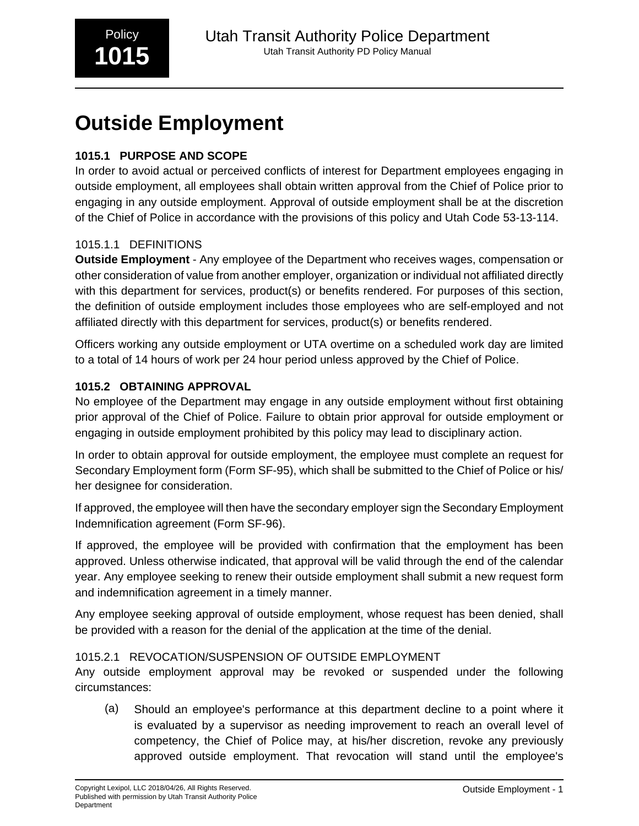# **Outside Employment**

# **1015.1 PURPOSE AND SCOPE**

In order to avoid actual or perceived conflicts of interest for Department employees engaging in outside employment, all employees shall obtain written approval from the Chief of Police prior to engaging in any outside employment. Approval of outside employment shall be at the discretion of the Chief of Police in accordance with the provisions of this policy and Utah Code 53-13-114.

## 1015.1.1 DEFINITIONS

**Outside Employment** - Any employee of the Department who receives wages, compensation or other consideration of value from another employer, organization or individual not affiliated directly with this department for services, product(s) or benefits rendered. For purposes of this section, the definition of outside employment includes those employees who are self-employed and not affiliated directly with this department for services, product(s) or benefits rendered.

Officers working any outside employment or UTA overtime on a scheduled work day are limited to a total of 14 hours of work per 24 hour period unless approved by the Chief of Police.

## **1015.2 OBTAINING APPROVAL**

No employee of the Department may engage in any outside employment without first obtaining prior approval of the Chief of Police. Failure to obtain prior approval for outside employment or engaging in outside employment prohibited by this policy may lead to disciplinary action.

In order to obtain approval for outside employment, the employee must complete an request for Secondary Employment form (Form SF-95), which shall be submitted to the Chief of Police or his/ her designee for consideration.

If approved, the employee will then have the secondary employer sign the Secondary Employment Indemnification agreement (Form SF-96).

If approved, the employee will be provided with confirmation that the employment has been approved. Unless otherwise indicated, that approval will be valid through the end of the calendar year. Any employee seeking to renew their outside employment shall submit a new request form and indemnification agreement in a timely manner.

Any employee seeking approval of outside employment, whose request has been denied, shall be provided with a reason for the denial of the application at the time of the denial.

#### 1015.2.1 REVOCATION/SUSPENSION OF OUTSIDE EMPLOYMENT

Any outside employment approval may be revoked or suspended under the following circumstances:

(a) Should an employee's performance at this department decline to a point where it is evaluated by a supervisor as needing improvement to reach an overall level of competency, the Chief of Police may, at his/her discretion, revoke any previously approved outside employment. That revocation will stand until the employee's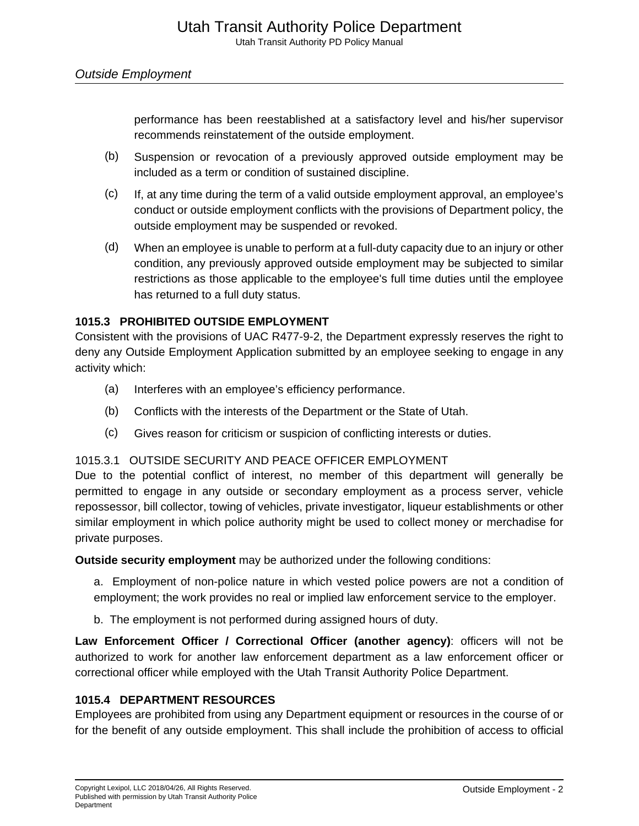performance has been reestablished at a satisfactory level and his/her supervisor recommends reinstatement of the outside employment.

- (b) Suspension or revocation of a previously approved outside employment may be included as a term or condition of sustained discipline.
- (c) If, at any time during the term of a valid outside employment approval, an employee's conduct or outside employment conflicts with the provisions of Department policy, the outside employment may be suspended or revoked.
- (d) When an employee is unable to perform at a full-duty capacity due to an injury or other condition, any previously approved outside employment may be subjected to similar restrictions as those applicable to the employee's full time duties until the employee has returned to a full duty status.

## **1015.3 PROHIBITED OUTSIDE EMPLOYMENT**

Consistent with the provisions of UAC R477-9-2, the Department expressly reserves the right to deny any Outside Employment Application submitted by an employee seeking to engage in any activity which:

- (a) Interferes with an employee's efficiency performance.
- (b) Conflicts with the interests of the Department or the State of Utah.
- (c) Gives reason for criticism or suspicion of conflicting interests or duties.

#### 1015.3.1 OUTSIDE SECURITY AND PEACE OFFICER EMPLOYMENT

Due to the potential conflict of interest, no member of this department will generally be permitted to engage in any outside or secondary employment as a process server, vehicle repossessor, bill collector, towing of vehicles, private investigator, liqueur establishments or other similar employment in which police authority might be used to collect money or merchadise for private purposes.

**Outside security employment** may be authorized under the following conditions:

- a. Employment of non-police nature in which vested police powers are not a condition of employment; the work provides no real or implied law enforcement service to the employer.
- b. The employment is not performed during assigned hours of duty.

**Law Enforcement Officer / Correctional Officer (another agency)**: officers will not be authorized to work for another law enforcement department as a law enforcement officer or correctional officer while employed with the Utah Transit Authority Police Department.

# **1015.4 DEPARTMENT RESOURCES**

Employees are prohibited from using any Department equipment or resources in the course of or for the benefit of any outside employment. This shall include the prohibition of access to official